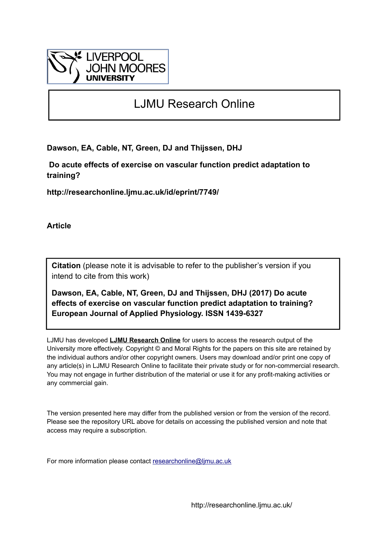

# LJMU Research Online

**Dawson, EA, Cable, NT, Green, DJ and Thijssen, DHJ**

 **Do acute effects of exercise on vascular function predict adaptation to training?**

**http://researchonline.ljmu.ac.uk/id/eprint/7749/**

**Article**

**Citation** (please note it is advisable to refer to the publisher's version if you intend to cite from this work)

**Dawson, EA, Cable, NT, Green, DJ and Thijssen, DHJ (2017) Do acute effects of exercise on vascular function predict adaptation to training? European Journal of Applied Physiology. ISSN 1439-6327** 

LJMU has developed **[LJMU Research Online](http://researchonline.ljmu.ac.uk/)** for users to access the research output of the University more effectively. Copyright © and Moral Rights for the papers on this site are retained by the individual authors and/or other copyright owners. Users may download and/or print one copy of any article(s) in LJMU Research Online to facilitate their private study or for non-commercial research. You may not engage in further distribution of the material or use it for any profit-making activities or any commercial gain.

The version presented here may differ from the published version or from the version of the record. Please see the repository URL above for details on accessing the published version and note that access may require a subscription.

For more information please contact [researchonline@ljmu.ac.uk](mailto:researchonline@ljmu.ac.uk)

http://researchonline.ljmu.ac.uk/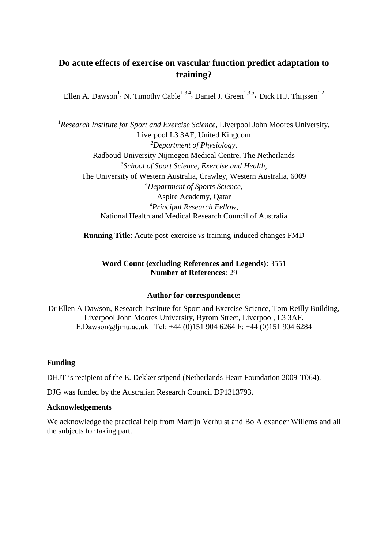# **Do acute effects of exercise on vascular function predict adaptation to training?**

Ellen A. Dawson<sup>1</sup>, N. Timothy Cable<sup>1,3,4</sup>, Daniel J. Green<sup>1,3,5</sup>, Dick H.J. Thijssen<sup>1,2</sup>

<sup>1</sup>*Research Institute for Sport and Exercise Science*, Liverpool John Moores University, Liverpool L3 3AF, United Kingdom *<sup>2</sup>Department of Physiology*, Radboud University Nijmegen Medical Centre, The Netherlands 3 *School of Sport Science, Exercise and Health,* The University of Western Australia, Crawley, Western Australia, 6009 <sup>4</sup>*Department of Sports Science,* Aspire Academy, Qatar <sup>4</sup>*Principal Research Fellow,*  National Health and Medical Research Council of Australia

**Running Title**: Acute post-exercise *vs* training-induced changes FMD

# **Word Count (excluding References and Legends)**: 3551 **Number of References**: 29

# **Author for correspondence:**

Dr Ellen A Dawson, Research Institute for Sport and Exercise Science, Tom Reilly Building, Liverpool John Moores University, Byrom Street, Liverpool, L3 3AF. [E.Dawson@ljmu.ac.uk](mailto:E.Dawson@ljmu.ac.uk) Tel: +44 (0)151 904 6264 F: +44 (0)151 904 6284

# **Funding**

DHJT is recipient of the E. Dekker stipend (Netherlands Heart Foundation 2009-T064).

DJG was funded by the Australian Research Council DP1313793.

# **Acknowledgements**

We acknowledge the practical help from Martijn Verhulst and Bo Alexander Willems and all the subjects for taking part.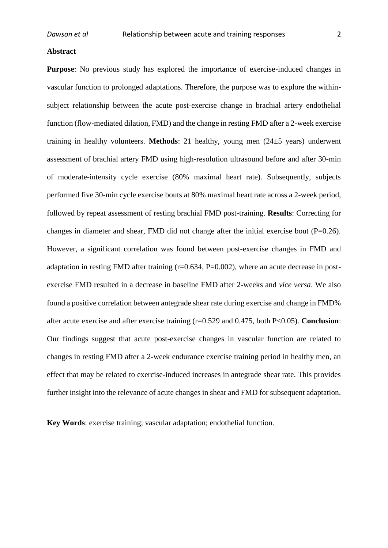#### **Abstract**

**Purpose**: No previous study has explored the importance of exercise-induced changes in vascular function to prolonged adaptations. Therefore, the purpose was to explore the withinsubject relationship between the acute post-exercise change in brachial artery endothelial function (flow-mediated dilation, FMD) and the change in resting FMD after a 2-week exercise training in healthy volunteers. **Methods**: 21 healthy, young men (24±5 years) underwent assessment of brachial artery FMD using high-resolution ultrasound before and after 30-min of moderate-intensity cycle exercise (80% maximal heart rate). Subsequently, subjects performed five 30-min cycle exercise bouts at 80% maximal heart rate across a 2-week period, followed by repeat assessment of resting brachial FMD post-training. **Results**: Correcting for changes in diameter and shear, FMD did not change after the initial exercise bout  $(P=0.26)$ . However, a significant correlation was found between post-exercise changes in FMD and adaptation in resting FMD after training  $(r=0.634, P=0.002)$ , where an acute decrease in postexercise FMD resulted in a decrease in baseline FMD after 2-weeks and *vice versa*. We also found a positive correlation between antegrade shear rate during exercise and change in FMD% after acute exercise and after exercise training (r=0.529 and 0.475, both P<0.05). **Conclusion**: Our findings suggest that acute post-exercise changes in vascular function are related to changes in resting FMD after a 2-week endurance exercise training period in healthy men, an effect that may be related to exercise-induced increases in antegrade shear rate. This provides further insight into the relevance of acute changes in shear and FMD for subsequent adaptation.

**Key Words**: exercise training; vascular adaptation; endothelial function.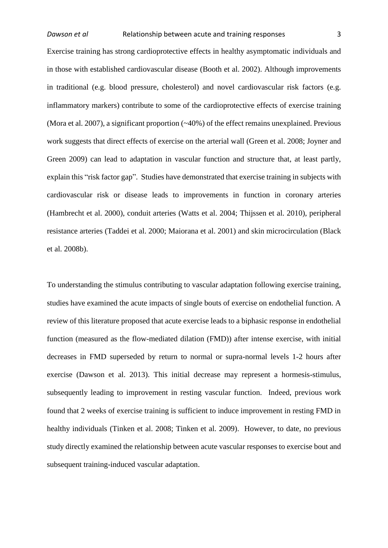Exercise training has strong cardioprotective effects in healthy asymptomatic individuals and in those with established cardiovascular disease [\(Booth et al. 2002\)](#page-15-0). Although improvements in traditional (e.g. blood pressure, cholesterol) and novel cardiovascular risk factors (e.g. inflammatory markers) contribute to some of the cardioprotective effects of exercise training [\(Mora et al. 2007\)](#page-16-0), a significant proportion (~40%) of the effect remains unexplained. Previous work suggests that direct effects of exercise on the arterial wall [\(Green et al. 2008;](#page-15-1) [Joyner and](#page-16-1)  [Green 2009\)](#page-16-1) can lead to adaptation in vascular function and structure that, at least partly, explain this "risk factor gap". Studies have demonstrated that exercise training in subjects with cardiovascular risk or disease leads to improvements in function in coronary arteries [\(Hambrecht et al. 2000\)](#page-15-2), conduit arteries [\(Watts et al. 2004;](#page-17-0) [Thijssen et al. 2010\)](#page-16-2), peripheral resistance arteries [\(Taddei et al. 2000;](#page-16-3) [Maiorana et al. 2001\)](#page-16-4) and skin microcirculation [\(Black](#page-15-3)  [et al. 2008b\)](#page-15-3).

To understanding the stimulus contributing to vascular adaptation following exercise training, studies have examined the acute impacts of single bouts of exercise on endothelial function. A review of this literature proposed that acute exercise leads to a biphasic response in endothelial function (measured as the flow-mediated dilation (FMD)) after intense exercise, with initial decreases in FMD superseded by return to normal or supra-normal levels 1-2 hours after exercise [\(Dawson et al. 2013\)](#page-15-4). This initial decrease may represent a hormesis-stimulus, subsequently leading to improvement in resting vascular function. Indeed, previous work found that 2 weeks of exercise training is sufficient to induce improvement in resting FMD in healthy individuals [\(Tinken et al. 2008;](#page-16-5) [Tinken et al. 2009\)](#page-16-6). However, to date, no previous study directly examined the relationship between acute vascular responses to exercise bout and subsequent training-induced vascular adaptation.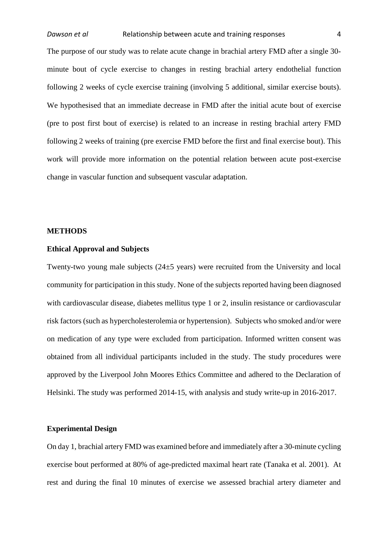The purpose of our study was to relate acute change in brachial artery FMD after a single 30 minute bout of cycle exercise to changes in resting brachial artery endothelial function following 2 weeks of cycle exercise training (involving 5 additional, similar exercise bouts). We hypothesised that an immediate decrease in FMD after the initial acute bout of exercise (pre to post first bout of exercise) is related to an increase in resting brachial artery FMD following 2 weeks of training (pre exercise FMD before the first and final exercise bout). This work will provide more information on the potential relation between acute post-exercise change in vascular function and subsequent vascular adaptation.

#### **METHODS**

### **Ethical Approval and Subjects**

Twenty-two young male subjects (24±5 years) were recruited from the University and local community for participation in this study. None of the subjects reported having been diagnosed with cardiovascular disease, diabetes mellitus type 1 or 2, insulin resistance or cardiovascular risk factors (such as hypercholesterolemia or hypertension). Subjects who smoked and/or were on medication of any type were excluded from participation. Informed written consent was obtained from all individual participants included in the study. The study procedures were approved by the Liverpool John Moores Ethics Committee and adhered to the Declaration of Helsinki. The study was performed 2014-15, with analysis and study write-up in 2016-2017.

# **Experimental Design**

On day 1, brachial artery FMD was examined before and immediately after a 30-minute cycling exercise bout performed at 80% of age-predicted maximal heart rate [\(Tanaka et al. 2001\)](#page-16-7). At rest and during the final 10 minutes of exercise we assessed brachial artery diameter and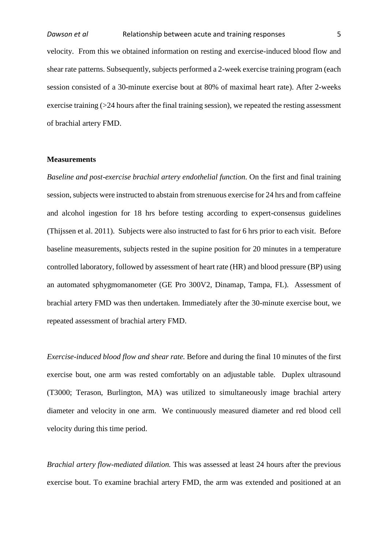velocity. From this we obtained information on resting and exercise-induced blood flow and shear rate patterns. Subsequently, subjects performed a 2-week exercise training program (each session consisted of a 30-minute exercise bout at 80% of maximal heart rate). After 2-weeks exercise training  $\geq$  24 hours after the final training session), we repeated the resting assessment of brachial artery FMD.

#### **Measurements**

*Baseline and post-exercise brachial artery endothelial function.* On the first and final training session, subjects were instructed to abstain from strenuous exercise for 24 hrs and from caffeine and alcohol ingestion for 18 hrs before testing according to expert-consensus guidelines [\(Thijssen et al. 2011\)](#page-16-8). Subjects were also instructed to fast for 6 hrs prior to each visit. Before baseline measurements, subjects rested in the supine position for 20 minutes in a temperature controlled laboratory, followed by assessment of heart rate (HR) and blood pressure (BP) using an automated sphygmomanometer (GE Pro 300V2, Dinamap, Tampa, FL). Assessment of brachial artery FMD was then undertaken. Immediately after the 30-minute exercise bout, we repeated assessment of brachial artery FMD.

*Exercise-induced blood flow and shear rate.* Before and during the final 10 minutes of the first exercise bout, one arm was rested comfortably on an adjustable table. Duplex ultrasound (T3000; Terason, Burlington, MA) was utilized to simultaneously image brachial artery diameter and velocity in one arm. We continuously measured diameter and red blood cell velocity during this time period.

*Brachial artery flow-mediated dilation.* This was assessed at least 24 hours after the previous exercise bout. To examine brachial artery FMD, the arm was extended and positioned at an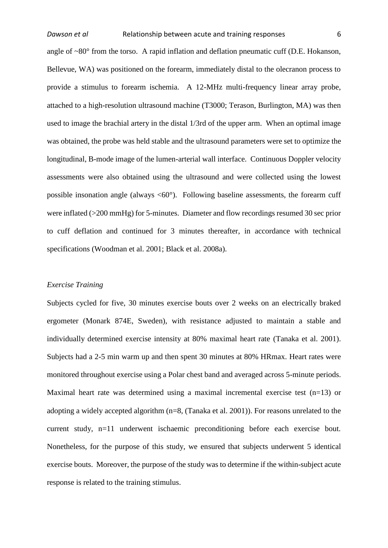angle of  $\sim 80^\circ$  from the torso. A rapid inflation and deflation pneumatic cuff (D.E. Hokanson, Bellevue, WA) was positioned on the forearm, immediately distal to the olecranon process to provide a stimulus to forearm ischemia. A 12-MHz multi-frequency linear array probe, attached to a high-resolution ultrasound machine (T3000; Terason, Burlington, MA) was then used to image the brachial artery in the distal 1/3rd of the upper arm. When an optimal image was obtained, the probe was held stable and the ultrasound parameters were set to optimize the longitudinal, B-mode image of the lumen-arterial wall interface. Continuous Doppler velocity assessments were also obtained using the ultrasound and were collected using the lowest possible insonation angle (always  $\langle 60^\circ \rangle$ ). Following baseline assessments, the forearm cuff were inflated (>200 mmHg) for 5-minutes. Diameter and flow recordings resumed 30 sec prior to cuff deflation and continued for 3 minutes thereafter, in accordance with technical specifications [\(Woodman et al. 2001;](#page-17-1) [Black et al. 2008a\)](#page-15-5).

#### *Exercise Training*

Subjects cycled for five, 30 minutes exercise bouts over 2 weeks on an electrically braked ergometer (Monark 874E, Sweden), with resistance adjusted to maintain a stable and individually determined exercise intensity at 80% maximal heart rate [\(Tanaka et al. 2001\)](#page-16-7). Subjects had a 2-5 min warm up and then spent 30 minutes at 80% HRmax. Heart rates were monitored throughout exercise using a Polar chest band and averaged across 5-minute periods. Maximal heart rate was determined using a maximal incremental exercise test  $(n=13)$  or adopting a widely accepted algorithm (n=8, [\(Tanaka et al. 2001\)](#page-16-7)). For reasons unrelated to the current study, n=11 underwent ischaemic preconditioning before each exercise bout. Nonetheless, for the purpose of this study, we ensured that subjects underwent 5 identical exercise bouts. Moreover, the purpose of the study was to determine if the within-subject acute response is related to the training stimulus.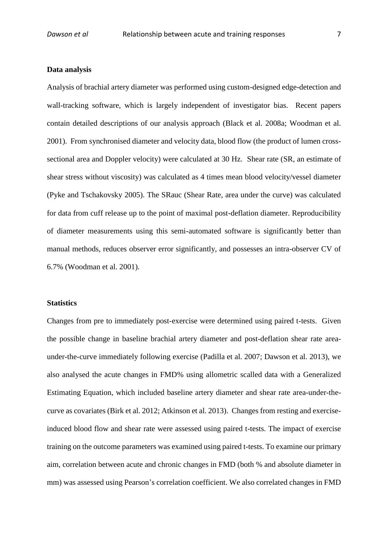#### **Data analysis**

Analysis of brachial artery diameter was performed using custom-designed edge-detection and wall-tracking software, which is largely independent of investigator bias. Recent papers contain detailed descriptions of our analysis approach [\(Black et al. 2008a;](#page-15-5) [Woodman et al.](#page-17-1)  [2001\)](#page-17-1). From synchronised diameter and velocity data, blood flow (the product of lumen crosssectional area and Doppler velocity) were calculated at 30 Hz. Shear rate (SR, an estimate of shear stress without viscosity) was calculated as 4 times mean blood velocity/vessel diameter [\(Pyke and Tschakovsky 2005\)](#page-16-9). The SRauc (Shear Rate, area under the curve) was calculated for data from cuff release up to the point of maximal post-deflation diameter. Reproducibility of diameter measurements using this semi-automated software is significantly better than manual methods, reduces observer error significantly, and possesses an intra-observer CV of 6.7% [\(Woodman et al. 2001\)](#page-17-1).

#### **Statistics**

Changes from pre to immediately post-exercise were determined using paired t-tests. Given the possible change in baseline brachial artery diameter and post-deflation shear rate areaunder-the-curve immediately following exercise [\(Padilla et al. 2007;](#page-16-10) [Dawson et al. 2013\)](#page-15-4), we also analysed the acute changes in FMD% using allometric scalled data with a Generalized Estimating Equation, which included baseline artery diameter and shear rate area-under-thecurve as covariates [\(Birk et al. 2012;](#page-15-6) [Atkinson et al. 2013\)](#page-15-7). Changes from resting and exerciseinduced blood flow and shear rate were assessed using paired t-tests. The impact of exercise training on the outcome parameters was examined using paired t-tests. To examine our primary aim, correlation between acute and chronic changes in FMD (both % and absolute diameter in mm) was assessed using Pearson's correlation coefficient. We also correlated changes in FMD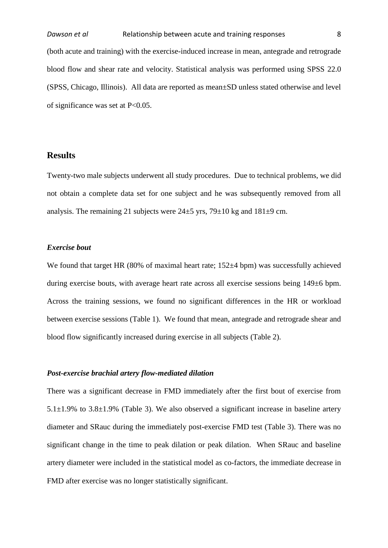(both acute and training) with the exercise-induced increase in mean, antegrade and retrograde blood flow and shear rate and velocity. Statistical analysis was performed using SPSS 22.0 (SPSS, Chicago, Illinois). All data are reported as mean±SD unless stated otherwise and level of significance was set at P<0.05.

# **Results**

Twenty-two male subjects underwent all study procedures. Due to technical problems, we did not obtain a complete data set for one subject and he was subsequently removed from all analysis. The remaining 21 subjects were  $24\pm 5$  yrs,  $79\pm 10$  kg and  $181\pm 9$  cm.

# *Exercise bout*

We found that target HR (80% of maximal heart rate; 152 $\pm$ 4 bpm) was successfully achieved during exercise bouts, with average heart rate across all exercise sessions being 149±6 bpm. Across the training sessions, we found no significant differences in the HR or workload between exercise sessions (Table 1). We found that mean, antegrade and retrograde shear and blood flow significantly increased during exercise in all subjects (Table 2).

#### *Post-exercise brachial artery flow-mediated dilation*

There was a significant decrease in FMD immediately after the first bout of exercise from 5.1±1.9% to 3.8±1.9% (Table 3). We also observed a significant increase in baseline artery diameter and SRauc during the immediately post-exercise FMD test (Table 3). There was no significant change in the time to peak dilation or peak dilation. When SRauc and baseline artery diameter were included in the statistical model as co-factors, the immediate decrease in FMD after exercise was no longer statistically significant.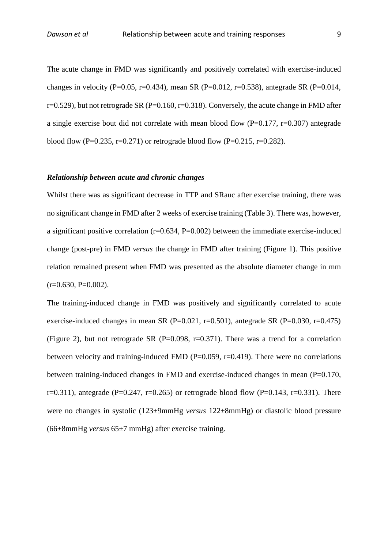The acute change in FMD was significantly and positively correlated with exercise-induced changes in velocity (P=0.05, r=0.434), mean SR (P=0.012, r=0.538), antegrade SR (P=0.014,  $r=0.529$ ), but not retrograde SR (P=0.160, r=0.318). Conversely, the acute change in FMD after a single exercise bout did not correlate with mean blood flow (P=0.177, r=0.307) antegrade blood flow (P=0.235, r=0.271) or retrograde blood flow (P=0.215, r=0.282).

#### *Relationship between acute and chronic changes*

Whilst there was as significant decrease in TTP and SRauc after exercise training, there was no significant change in FMD after 2 weeks of exercise training (Table 3). There was, however, a significant positive correlation (r=0.634, P=0.002) between the immediate exercise-induced change (post-pre) in FMD *versus* the change in FMD after training (Figure 1). This positive relation remained present when FMD was presented as the absolute diameter change in mm  $(r=0.630, P=0.002)$ .

The training-induced change in FMD was positively and significantly correlated to acute exercise-induced changes in mean SR (P=0.021, r=0.501), antegrade SR (P=0.030, r=0.475) (Figure 2), but not retrograde SR (P=0.098, r=0.371). There was a trend for a correlation between velocity and training-induced FMD ( $P=0.059$ ,  $r=0.419$ ). There were no correlations between training-induced changes in FMD and exercise-induced changes in mean (P=0.170, r=0.311), antegrade (P=0.247, r=0.265) or retrograde blood flow (P=0.143, r=0.331). There were no changes in systolic (123±9mmHg *versus* 122±8mmHg) or diastolic blood pressure (66±8mmHg *versus* 65±7 mmHg) after exercise training.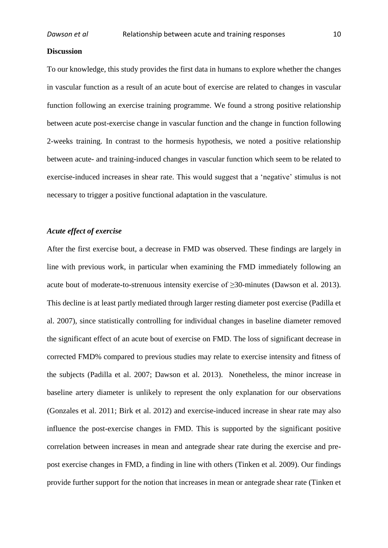#### **Discussion**

To our knowledge, this study provides the first data in humans to explore whether the changes in vascular function as a result of an acute bout of exercise are related to changes in vascular function following an exercise training programme. We found a strong positive relationship between acute post-exercise change in vascular function and the change in function following 2-weeks training. In contrast to the hormesis hypothesis, we noted a positive relationship between acute- and training-induced changes in vascular function which seem to be related to exercise-induced increases in shear rate. This would suggest that a 'negative' stimulus is not necessary to trigger a positive functional adaptation in the vasculature.

# *Acute effect of exercise*

After the first exercise bout, a decrease in FMD was observed. These findings are largely in line with previous work, in particular when examining the FMD immediately following an acute bout of moderate-to-strenuous intensity exercise of ≥30-minutes [\(Dawson et al. 2013\)](#page-15-4). This decline is at least partly mediated through larger resting diameter post exercise [\(Padilla et](#page-16-10)  [al. 2007\)](#page-16-10), since statistically controlling for individual changes in baseline diameter removed the significant effect of an acute bout of exercise on FMD. The loss of significant decrease in corrected FMD% compared to previous studies may relate to exercise intensity and fitness of the subjects [\(Padilla et al. 2007;](#page-16-10) [Dawson et al. 2013\)](#page-15-4). Nonetheless, the minor increase in baseline artery diameter is unlikely to represent the only explanation for our observations [\(Gonzales et al. 2011;](#page-15-8) [Birk et al. 2012\)](#page-15-6) and exercise-induced increase in shear rate may also influence the post-exercise changes in FMD. This is supported by the significant positive correlation between increases in mean and antegrade shear rate during the exercise and prepost exercise changes in FMD, a finding in line with others [\(Tinken et al. 2009\)](#page-16-6). Our findings provide further support for the notion that increases in mean or antegrade shear rate [\(Tinken et](#page-16-6)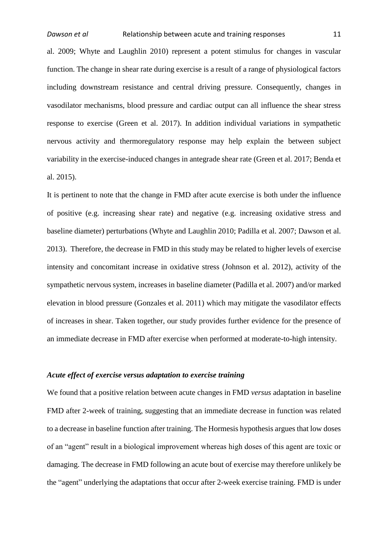[al. 2009;](#page-16-6) [Whyte and Laughlin 2010\)](#page-17-2) represent a potent stimulus for changes in vascular function. The change in shear rate during exercise is a result of a range of physiological factors including downstream resistance and central driving pressure. Consequently, changes in vasodilator mechanisms, blood pressure and cardiac output can all influence the shear stress response to exercise [\(Green et al. 2017\)](#page-15-9). In addition individual variations in sympathetic nervous activity and thermoregulatory response may help explain the between subject variability in the exercise-induced changes in antegrade shear rate [\(Green et al. 2017;](#page-15-9) [Benda et](#page-15-10)  [al. 2015\)](#page-15-10).

It is pertinent to note that the change in FMD after acute exercise is both under the influence of positive (e.g. increasing shear rate) and negative (e.g. increasing oxidative stress and baseline diameter) perturbations [\(Whyte and Laughlin 2010;](#page-17-2) [Padilla et al. 2007;](#page-16-10) [Dawson et al.](#page-15-4)  [2013\)](#page-15-4). Therefore, the decrease in FMD in this study may be related to higher levels of exercise intensity and concomitant increase in oxidative stress [\(Johnson et al. 2012\)](#page-16-11), activity of the sympathetic nervous system, increases in baseline diameter [\(Padilla et al. 2007\)](#page-16-10) and/or marked elevation in blood pressure [\(Gonzales et al. 2011\)](#page-15-8) which may mitigate the vasodilator effects of increases in shear. Taken together, our study provides further evidence for the presence of an immediate decrease in FMD after exercise when performed at moderate-to-high intensity.

# *Acute effect of exercise versus adaptation to exercise training*

We found that a positive relation between acute changes in FMD *versus* adaptation in baseline FMD after 2-week of training, suggesting that an immediate decrease in function was related to a decrease in baseline function after training. The Hormesis hypothesis argues that low doses of an "agent" result in a biological improvement whereas high doses of this agent are toxic or damaging. The decrease in FMD following an acute bout of exercise may therefore unlikely be the "agent" underlying the adaptations that occur after 2-week exercise training. FMD is under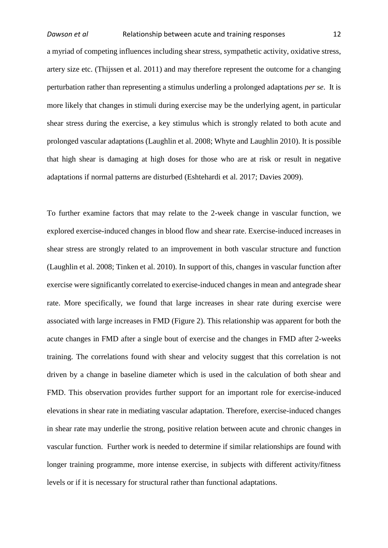a myriad of competing influences including shear stress, sympathetic activity, oxidative stress, artery size etc. [\(Thijssen et al. 2011\)](#page-16-8) and may therefore represent the outcome for a changing perturbation rather than representing a stimulus underling a prolonged adaptations *per se*. It is more likely that changes in stimuli during exercise may be the underlying agent, in particular shear stress during the exercise, a key stimulus which is strongly related to both acute and prolonged vascular adaptations [\(Laughlin et al. 2008;](#page-16-12) [Whyte and Laughlin 2010\)](#page-17-2). It is possible that high shear is damaging at high doses for those who are at risk or result in negative adaptations if normal patterns are disturbed [\(Eshtehardi et al. 2017;](#page-15-11) [Davies 2009\)](#page-15-12).

To further examine factors that may relate to the 2-week change in vascular function, we explored exercise-induced changes in blood flow and shear rate. Exercise-induced increases in shear stress are strongly related to an improvement in both vascular structure and function [\(Laughlin et al. 2008;](#page-16-12) [Tinken et al. 2010\)](#page-17-3). In support of this, changes in vascular function after exercise were significantly correlated to exercise-induced changes in mean and antegrade shear rate. More specifically, we found that large increases in shear rate during exercise were associated with large increases in FMD (Figure 2). This relationship was apparent for both the acute changes in FMD after a single bout of exercise and the changes in FMD after 2-weeks training. The correlations found with shear and velocity suggest that this correlation is not driven by a change in baseline diameter which is used in the calculation of both shear and FMD. This observation provides further support for an important role for exercise-induced elevations in shear rate in mediating vascular adaptation. Therefore, exercise-induced changes in shear rate may underlie the strong, positive relation between acute and chronic changes in vascular function. Further work is needed to determine if similar relationships are found with longer training programme, more intense exercise, in subjects with different activity/fitness levels or if it is necessary for structural rather than functional adaptations.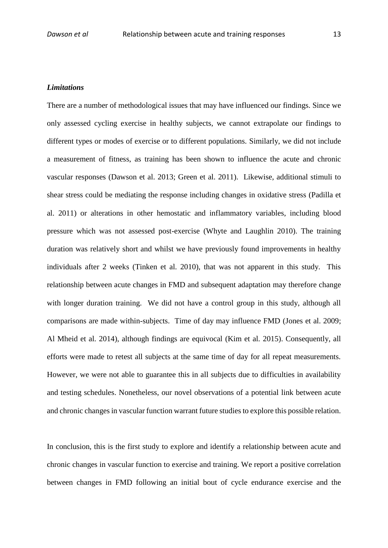#### *Limitations*

There are a number of methodological issues that may have influenced our findings. Since we only assessed cycling exercise in healthy subjects, we cannot extrapolate our findings to different types or modes of exercise or to different populations. Similarly, we did not include a measurement of fitness, as training has been shown to influence the acute and chronic vascular responses [\(Dawson et al. 2013;](#page-15-4) [Green et al. 2011\)](#page-15-13). Likewise, additional stimuli to shear stress could be mediating the response including changes in oxidative stress [\(Padilla et](#page-16-13)  [al. 2011\)](#page-16-13) or alterations in other hemostatic and inflammatory variables, including blood pressure which was not assessed post-exercise [\(Whyte and Laughlin 2010\)](#page-17-2). The training duration was relatively short and whilst we have previously found improvements in healthy individuals after 2 weeks [\(Tinken et al. 2010\)](#page-17-3), that was not apparent in this study. This relationship between acute changes in FMD and subsequent adaptation may therefore change with longer duration training. We did not have a control group in this study, although all comparisons are made within-subjects. Time of day may influence FMD [\(Jones et al. 2009;](#page-16-14) [Al Mheid et al. 2014\)](#page-15-14), although findings are equivocal [\(Kim et al. 2015\)](#page-16-15). Consequently, all efforts were made to retest all subjects at the same time of day for all repeat measurements. However, we were not able to guarantee this in all subjects due to difficulties in availability and testing schedules. Nonetheless, our novel observations of a potential link between acute and chronic changes in vascular function warrant future studies to explore this possible relation.

In conclusion, this is the first study to explore and identify a relationship between acute and chronic changes in vascular function to exercise and training. We report a positive correlation between changes in FMD following an initial bout of cycle endurance exercise and the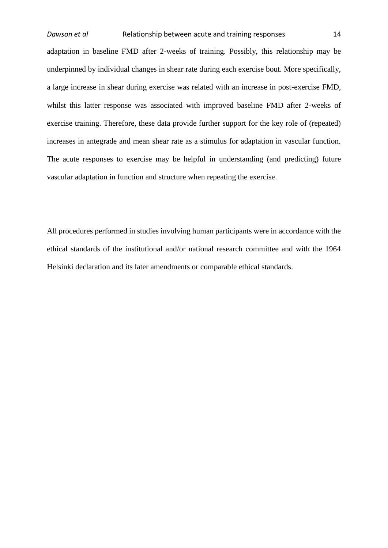adaptation in baseline FMD after 2-weeks of training. Possibly, this relationship may be underpinned by individual changes in shear rate during each exercise bout. More specifically, a large increase in shear during exercise was related with an increase in post-exercise FMD, whilst this latter response was associated with improved baseline FMD after 2-weeks of exercise training. Therefore, these data provide further support for the key role of (repeated) increases in antegrade and mean shear rate as a stimulus for adaptation in vascular function. The acute responses to exercise may be helpful in understanding (and predicting) future vascular adaptation in function and structure when repeating the exercise.

All procedures performed in studies involving human participants were in accordance with the ethical standards of the institutional and/or national research committee and with the 1964 Helsinki declaration and its later amendments or comparable ethical standards.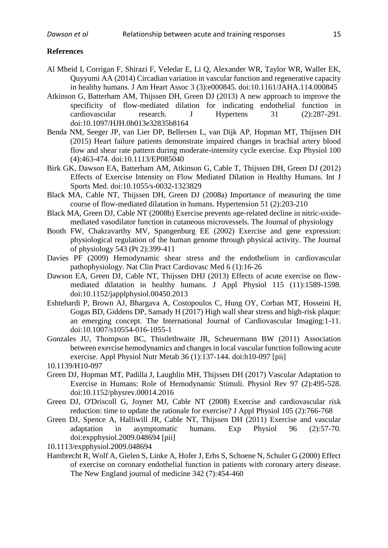#### **References**

- <span id="page-15-14"></span>Al Mheid I, Corrigan F, Shirazi F, Veledar E, Li Q, Alexander WR, Taylor WR, Waller EK, Quyyumi AA (2014) Circadian variation in vascular function and regenerative capacity in healthy humans. J Am Heart Assoc 3 (3):e000845. doi:10.1161/JAHA.114.000845
- <span id="page-15-7"></span>Atkinson G, Batterham AM, Thijssen DH, Green DJ (2013) A new approach to improve the specificity of flow-mediated dilation for indicating endothelial function in cardiovascular research. J Hypertens 31 (2):287-291. doi:10.1097/HJH.0b013e32835b8164
- <span id="page-15-10"></span>Benda NM, Seeger JP, van Lier DP, Bellersen L, van Dijk AP, Hopman MT, Thijssen DH (2015) Heart failure patients demonstrate impaired changes in brachial artery blood flow and shear rate pattern during moderate-intensity cycle exercise. Exp Physiol 100 (4):463-474. doi:10.1113/EP085040
- <span id="page-15-6"></span>Birk GK, Dawson EA, Batterham AM, Atkinson G, Cable T, Thijssen DH, Green DJ (2012) Effects of Exercise Intensity on Flow Mediated Dilation in Healthy Humans. Int J Sports Med. doi:10.1055/s-0032-1323829
- <span id="page-15-5"></span>Black MA, Cable NT, Thijssen DH, Green DJ (2008a) Importance of measuring the time course of flow-mediated dilatation in humans. Hypertension 51 (2):203-210
- <span id="page-15-3"></span>Black MA, Green DJ, Cable NT (2008b) Exercise prevents age-related decline in nitric-oxidemediated vasodilator function in cutaneous microvessels. The Journal of physiology
- <span id="page-15-0"></span>Booth FW, Chakravarthy MV, Spangenburg EE (2002) Exercise and gene expression: physiological regulation of the human genome through physical activity. The Journal of physiology 543 (Pt 2):399-411
- <span id="page-15-12"></span>Davies PF (2009) Hemodynamic shear stress and the endothelium in cardiovascular pathophysiology. Nat Clin Pract Cardiovasc Med 6 (1):16-26
- <span id="page-15-4"></span>Dawson EA, Green DJ, Cable NT, Thijssen DHJ (2013) Effects of acute exercise on flowmediated dilatation in healthy humans. J Appl Physiol 115 (11):1589-1598. doi:10.1152/japplphysiol.00450.2013
- <span id="page-15-11"></span>Eshtehardi P, Brown AJ, Bhargava A, Costopoulos C, Hung OY, Corban MT, Hosseini H, Gogas BD, Giddens DP, Samady H (2017) High wall shear stress and high-risk plaque: an emerging concept. The International Journal of Cardiovascular Imaging:1-11. doi:10.1007/s10554-016-1055-1
- <span id="page-15-8"></span>Gonzales JU, Thompson BC, Thistlethwaite JR, Scheuermann BW (2011) Association between exercise hemodynamics and changes in local vascular function following acute exercise. Appl Physiol Nutr Metab 36 (1):137-144. doi:h10-097 [pii]
- 10.1139/H10-097
- <span id="page-15-9"></span>Green DJ, Hopman MT, Padilla J, Laughlin MH, Thijssen DH (2017) Vascular Adaptation to Exercise in Humans: Role of Hemodynamic Stimuli. Physiol Rev 97 (2):495-528. doi:10.1152/physrev.00014.2016
- <span id="page-15-1"></span>Green DJ, O'Driscoll G, Joyner MJ, Cable NT (2008) Exercise and cardiovascular risk reduction: time to update the rationale for exercise? J Appl Physiol 105 (2):766-768
- <span id="page-15-13"></span>Green DJ, Spence A, Halliwill JR, Cable NT, Thijssen DH (2011) Exercise and vascular adaptation in asymptomatic humans. Exp Physiol 96 (2):57-70. doi:expphysiol.2009.048694 [pii]
- 10.1113/expphysiol.2009.048694
- <span id="page-15-2"></span>Hambrecht R, Wolf A, Gielen S, Linke A, Hofer J, Erbs S, Schoene N, Schuler G (2000) Effect of exercise on coronary endothelial function in patients with coronary artery disease. The New England journal of medicine 342 (7):454-460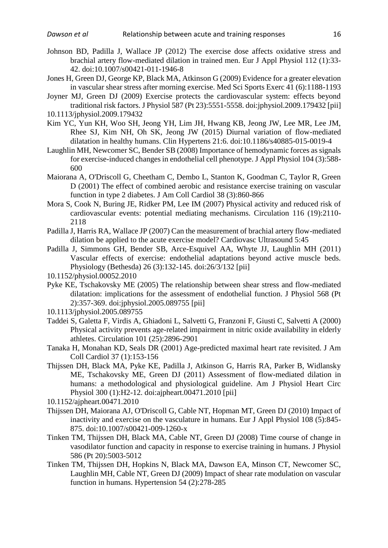- <span id="page-16-11"></span>Johnson BD, Padilla J, Wallace JP (2012) The exercise dose affects oxidative stress and brachial artery flow-mediated dilation in trained men. Eur J Appl Physiol 112 (1):33- 42. doi:10.1007/s00421-011-1946-8
- <span id="page-16-14"></span>Jones H, Green DJ, George KP, Black MA, Atkinson G (2009) Evidence for a greater elevation in vascular shear stress after morning exercise. Med Sci Sports Exerc 41 (6):1188-1193
- <span id="page-16-1"></span>Joyner MJ, Green DJ (2009) Exercise protects the cardiovascular system: effects beyond traditional risk factors. J Physiol 587 (Pt 23):5551-5558. doi:jphysiol.2009.179432 [pii]

- <span id="page-16-15"></span>Kim YC, Yun KH, Woo SH, Jeong YH, Lim JH, Hwang KB, Jeong JW, Lee MR, Lee JM, Rhee SJ, Kim NH, Oh SK, Jeong JW (2015) Diurnal variation of flow-mediated dilatation in healthy humans. Clin Hypertens 21:6. doi:10.1186/s40885-015-0019-4
- <span id="page-16-12"></span>Laughlin MH, Newcomer SC, Bender SB (2008) Importance of hemodynamic forces as signals for exercise-induced changes in endothelial cell phenotype. J Appl Physiol 104 (3):588- 600
- <span id="page-16-4"></span>Maiorana A, O'Driscoll G, Cheetham C, Dembo L, Stanton K, Goodman C, Taylor R, Green D (2001) The effect of combined aerobic and resistance exercise training on vascular function in type 2 diabetes. J Am Coll Cardiol 38 (3):860-866
- <span id="page-16-0"></span>Mora S, Cook N, Buring JE, Ridker PM, Lee IM (2007) Physical activity and reduced risk of cardiovascular events: potential mediating mechanisms. Circulation 116 (19):2110- 2118
- <span id="page-16-10"></span>Padilla J, Harris RA, Wallace JP (2007) Can the measurement of brachial artery flow-mediated dilation be applied to the acute exercise model? Cardiovasc Ultrasound 5:45
- <span id="page-16-13"></span>Padilla J, Simmons GH, Bender SB, Arce-Esquivel AA, Whyte JJ, Laughlin MH (2011) Vascular effects of exercise: endothelial adaptations beyond active muscle beds. Physiology (Bethesda) 26 (3):132-145. doi:26/3/132 [pii]
- 10.1152/physiol.00052.2010
- <span id="page-16-9"></span>Pyke KE, Tschakovsky ME (2005) The relationship between shear stress and flow-mediated dilatation: implications for the assessment of endothelial function. J Physiol 568 (Pt 2):357-369. doi:jphysiol.2005.089755 [pii]
- 10.1113/jphysiol.2005.089755
- <span id="page-16-3"></span>Taddei S, Galetta F, Virdis A, Ghiadoni L, Salvetti G, Franzoni F, Giusti C, Salvetti A (2000) Physical activity prevents age-related impairment in nitric oxide availability in elderly athletes. Circulation 101 (25):2896-2901
- <span id="page-16-7"></span>Tanaka H, Monahan KD, Seals DR (2001) Age-predicted maximal heart rate revisited. J Am Coll Cardiol 37 (1):153-156
- <span id="page-16-8"></span>Thijssen DH, Black MA, Pyke KE, Padilla J, Atkinson G, Harris RA, Parker B, Widlansky ME, Tschakovsky ME, Green DJ (2011) Assessment of flow-mediated dilation in humans: a methodological and physiological guideline. Am J Physiol Heart Circ Physiol 300 (1):H2-12. doi:ajpheart.00471.2010 [pii]
- 10.1152/ajpheart.00471.2010
- <span id="page-16-2"></span>Thijssen DH, Maiorana AJ, O'Driscoll G, Cable NT, Hopman MT, Green DJ (2010) Impact of inactivity and exercise on the vasculature in humans. Eur J Appl Physiol 108 (5):845- 875. doi:10.1007/s00421-009-1260-x
- <span id="page-16-5"></span>Tinken TM, Thijssen DH, Black MA, Cable NT, Green DJ (2008) Time course of change in vasodilator function and capacity in response to exercise training in humans. J Physiol 586 (Pt 20):5003-5012
- <span id="page-16-6"></span>Tinken TM, Thijssen DH, Hopkins N, Black MA, Dawson EA, Minson CT, Newcomer SC, Laughlin MH, Cable NT, Green DJ (2009) Impact of shear rate modulation on vascular function in humans. Hypertension 54 (2):278-285

<sup>10.1113/</sup>jphysiol.2009.179432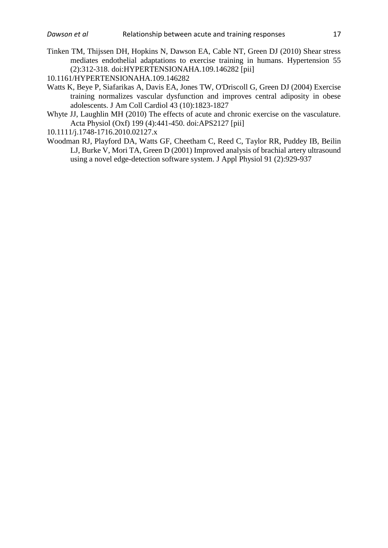<span id="page-17-3"></span>Tinken TM, Thijssen DH, Hopkins N, Dawson EA, Cable NT, Green DJ (2010) Shear stress mediates endothelial adaptations to exercise training in humans. Hypertension 55 (2):312-318. doi:HYPERTENSIONAHA.109.146282 [pii]

10.1161/HYPERTENSIONAHA.109.146282

- <span id="page-17-0"></span>Watts K, Beye P, Siafarikas A, Davis EA, Jones TW, O'Driscoll G, Green DJ (2004) Exercise training normalizes vascular dysfunction and improves central adiposity in obese adolescents. J Am Coll Cardiol 43 (10):1823-1827
- <span id="page-17-2"></span>Whyte JJ, Laughlin MH (2010) The effects of acute and chronic exercise on the vasculature. Acta Physiol (Oxf) 199 (4):441-450. doi:APS2127 [pii]
- 10.1111/j.1748-1716.2010.02127.x
- <span id="page-17-1"></span>Woodman RJ, Playford DA, Watts GF, Cheetham C, Reed C, Taylor RR, Puddey IB, Beilin LJ, Burke V, Mori TA, Green D (2001) Improved analysis of brachial artery ultrasound using a novel edge-detection software system. J Appl Physiol 91 (2):929-937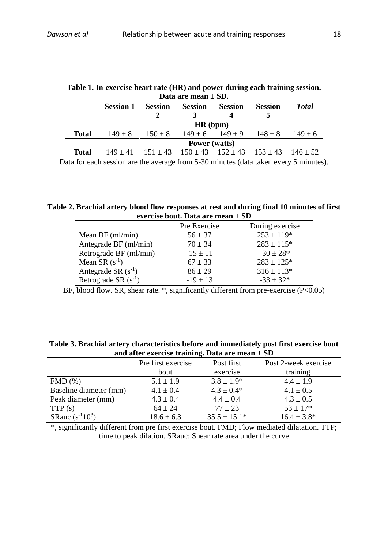| Data are mean $\pm$ SD. |                      |                |                     |                                                                  |                |              |  |  |
|-------------------------|----------------------|----------------|---------------------|------------------------------------------------------------------|----------------|--------------|--|--|
|                         | <b>Session 1</b>     | <b>Session</b> | <b>Session</b>      | <b>Session</b>                                                   | <b>Session</b> | <b>Total</b> |  |  |
| HR(bpm)                 |                      |                |                     |                                                                  |                |              |  |  |
| Total                   | $149 + 8$            | $150 \pm 8$    | $149 + 6$ $149 + 9$ |                                                                  | $148 + 8$      | $149 + 6$    |  |  |
|                         | <b>Power</b> (watts) |                |                     |                                                                  |                |              |  |  |
| Total                   |                      |                |                     | $149 \pm 41$ $151 \pm 43$ $150 \pm 43$ $152 \pm 43$ $153 \pm 43$ |                | $146 + 52$   |  |  |

| Table 1. In-exercise heart rate (HR) and power during each training session. |  |  |  |  |  |  |
|------------------------------------------------------------------------------|--|--|--|--|--|--|
| Data are mean $\pm$ SD.                                                      |  |  |  |  |  |  |

Data for each session are the average from 5-30 minutes (data taken every 5 minutes).

**Table 2. Brachial artery blood flow responses at rest and during final 10 minutes of first exercise bout. Data are mean ± SD**

|                          | Pre Exercise | During exercise |
|--------------------------|--------------|-----------------|
| Mean BF $(ml/min)$       | $56 \pm 37$  | $253 \pm 119*$  |
| Antegrade BF (ml/min)    | $70 \pm 34$  | $283 \pm 115$ * |
| Retrograde BF (ml/min)   | $-15 \pm 11$ | $-30 \pm 28$ *  |
| Mean SR $(s^{-1})$       | $67 \pm 33$  | $283 \pm 125$ * |
| Antegrade SR $(s^{-1})$  | $86 \pm 29$  | $316 \pm 113*$  |
| Retrograde SR $(s^{-1})$ | $-19 \pm 13$ | $-33 \pm 32*$   |

BF, blood flow. SR, shear rate.  $*$ , significantly different from pre-exercise (P<0.05)

**Table 3. Brachial artery characteristics before and immediately post first exercise bout and after exercise training. Data are mean ± SD**

| and arror exercise training, bara are mean $= 5b$ |                    |                  |                      |  |  |  |
|---------------------------------------------------|--------------------|------------------|----------------------|--|--|--|
|                                                   | Pre first exercise | Post first       | Post 2-week exercise |  |  |  |
|                                                   | bout               | exercise         | training             |  |  |  |
| FMD(%)                                            | $5.1 \pm 1.9$      | $3.8 \pm 1.9*$   | $4.4 \pm 1.9$        |  |  |  |
| Baseline diameter (mm)                            | $4.1 \pm 0.4$      | $4.3 \pm 0.4*$   | $4.1 \pm 0.5$        |  |  |  |
| Peak diameter (mm)                                | $4.3 \pm 0.4$      | $4.4 \pm 0.4$    | $4.3 \pm 0.5$        |  |  |  |
| TTP(s)                                            | $64 \pm 24$        | $77 \pm 23$      | $53 \pm 17$ *        |  |  |  |
| SRauc $(s^{-1}10^3)$                              | $18.6 \pm 6.3$     | $35.5 \pm 15.1*$ | $16.4 \pm 3.8^*$     |  |  |  |

\*, significantly different from pre first exercise bout. FMD; Flow mediated dilatation. TTP; time to peak dilation. SRauc; Shear rate area under the curve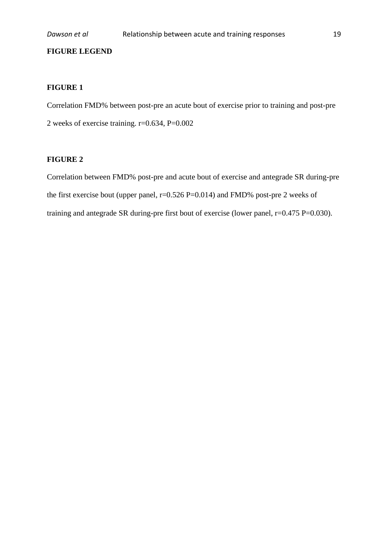# **FIGURE LEGEND**

# **FIGURE 1**

Correlation FMD% between post-pre an acute bout of exercise prior to training and post-pre 2 weeks of exercise training. r=0.634, P=0.002

# **FIGURE 2**

Correlation between FMD% post-pre and acute bout of exercise and antegrade SR during-pre the first exercise bout (upper panel, r=0.526 P=0.014) and FMD% post-pre 2 weeks of training and antegrade SR during-pre first bout of exercise (lower panel,  $r=0.475 P=0.030$ ).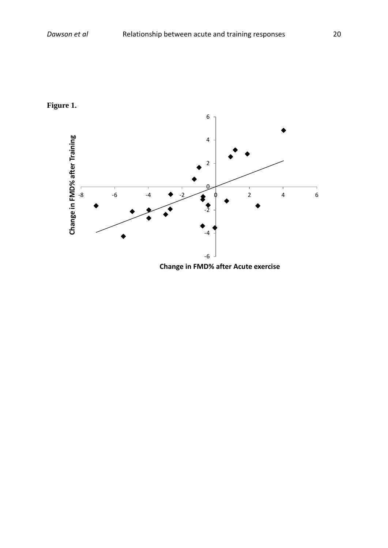



**Change in FMD% after Acute exercise**